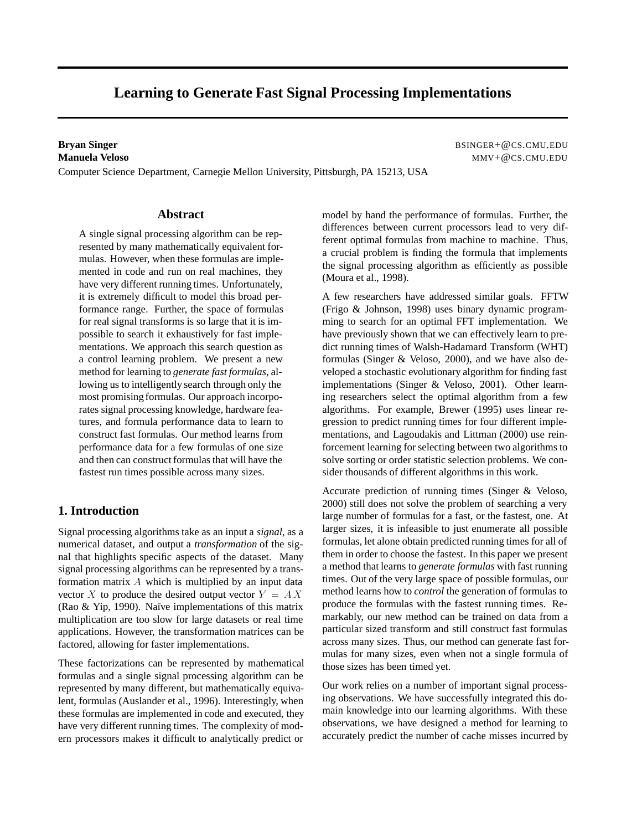# **Learning to Generate Fast Signal Processing Implementations**

Computer Science Department, Carnegie Mellon University, Pittsburgh, PA 15213, USA

**Bryan Singer** BSINGER+@CS.CMU.EDU **Manuela Veloso** MMV+ CCS.CMU.EDU

### **Abstract**

A single signal processing algorithm can be represented by many mathematically equivalent formulas. However, when these formulas are implemented in code and run on real machines, they have very different running times. Unfortunately, it is extremely difficult to model this broad performance range. Further, the space of formulas for real signal transforms is so large that it is impossible to search it exhaustively for fast implementations. We approach this search question as a control learning problem. We present a new method for learning to *generate fast formulas*, allowing us to intelligently search through only the most promising formulas. Our approach incorporates signal processing knowledge, hardware features, and formula performance data to learn to construct fast formulas. Our method learns from performance data for a few formulas of one size and then can construct formulas that will have the fastest run times possible across many sizes.

### **1. Introduction**

Signal processing algorithms take as an input a *signal*, as a numerical dataset, and output a *transformation* of the signal that highlights specific aspects of the dataset. Many signal processing algorithms can be represented by a transformation matrix <sup>A</sup> which is multiplied by an input data vector X to produce the desired output vector  $Y = AX$ (Rao & Yip, 1990). Naïve implementations of this matrix multiplication are too slow for large datasets or real time applications. However, the transformation matrices can be factored, allowing for faster implementations.

These factorizations can be represented by mathematical formulas and a single signal processing algorithm can be represented by many different, but mathematically equivalent, formulas (Auslander et al., 1996). Interestingly, when these formulas are implemented in code and executed, they have very different running times. The complexity of modern processors makes it difficult to analytically predict or

model by hand the performance of formulas. Further, the differences between current processors lead to very different optimal formulas from machine to machine. Thus, a crucial problem is finding the formula that implements the signal processing algorithm as efficiently as possible (Moura et al., 1998).

A few researchers have addressed similar goals. FFTW (Frigo & Johnson, 1998) uses binary dynamic programming to search for an optimal FFT implementation. We have previously shown that we can effectively learn to predict running times of Walsh-Hadamard Transform (WHT) formulas (Singer & Veloso, 2000), and we have also developed a stochastic evolutionary algorithm for finding fast implementations (Singer & Veloso, 2001). Other learning researchers select the optimal algorithm from a few algorithms. For example, Brewer (1995) uses linear regression to predict running times for four different implementations, and Lagoudakis and Littman (2000) use reinforcement learning for selecting between two algorithms to solve sorting or order statistic selection problems. We consider thousands of different algorithms in this work.

Accurate prediction of running times (Singer & Veloso, 2000) still does not solve the problem of searching a very large number of formulas for a fast, or the fastest, one. At larger sizes, it is infeasible to just enumerate all possible formulas, let alone obtain predicted running times for all of them in order to choose the fastest. In this paper we present a method that learns to *generate formulas* with fast running times. Out of the very large space of possible formulas, our method learns how to *control* the generation of formulas to produce the formulas with the fastest running times. Remarkably, our new method can be trained on data from a particular sized transform and still construct fast formulas across many sizes. Thus, our method can generate fast formulas for many sizes, even when not a single formula of those sizes has been timed yet.

Our work relies on a number of important signal processing observations. We have successfully integrated this domain knowledge into our learning algorithms. With these observations, we have designed a method for learning to accurately predict the number of cache misses incurred by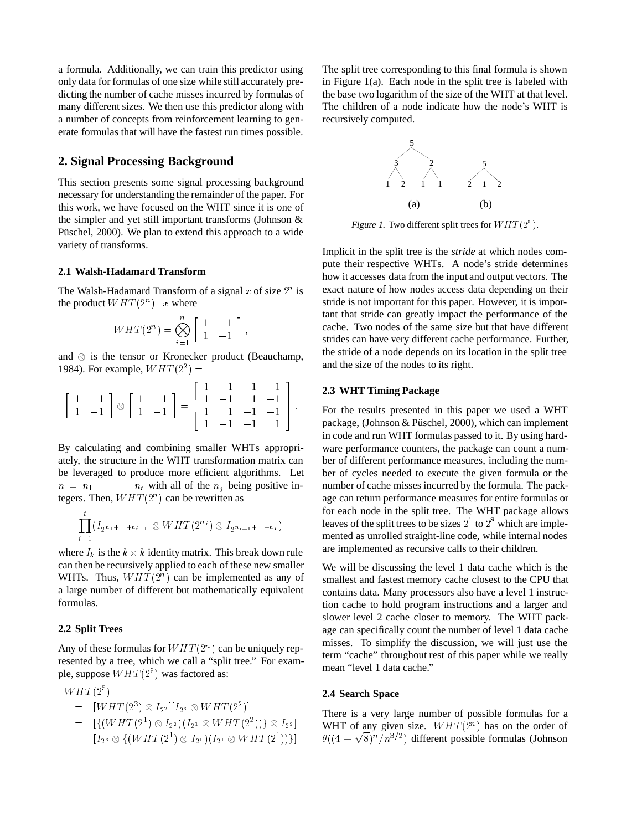a formula. Additionally, we can train this predictor using only data for formulas of one size while still accurately predicting the number of cache misses incurred by formulas of many different sizes. We then use this predictor along with a number of concepts from reinforcement learning to generate formulas that will have the fastest run times possible.

### **2. Signal Processing Background**

This section presents some signal processing background necessary for understanding the remainder of the paper. For this work, we have focused on the WHT since it is one of the simpler and yet still important transforms (Johnson & Püschel, 2000). We plan to extend this approach to a wide variety of transforms.

#### **2.1 Walsh-Hadamard Transform**

The Walsh-Hadamard Transform of a signal x of size  $2^n$  is the product  $WHT(2^n)$  x where

$$
WHT(2^n) = \bigotimes_{i=1}^n \left[ \begin{array}{cc} 1 & 1 \\ 1 & -1 \end{array} \right],
$$

and  $\otimes$  is the tensor or Kronecker product (Beauchamp, 1984). For example,  $WHT(2^2) =$ 

$$
\begin{bmatrix} 1 & 1 \\ 1 & -1 \end{bmatrix} \otimes \begin{bmatrix} 1 & 1 \\ 1 & -1 \end{bmatrix} = \begin{bmatrix} 1 & 1 & 1 & 1 \\ 1 & -1 & 1 & -1 \\ 1 & 1 & -1 & -1 \\ 1 & -1 & -1 & 1 \end{bmatrix}.
$$

the property of the control of the control of the control of the control of the control of

By calculating and combining smaller WHTs appropriately, the structure in the WHT transformation matrix can be leveraged to produce more efficient algorithms. Let  $n = n_1 + \cdots + n_t$  with all of the  $n_j$  being positive integers. Then,  $WHT(2^n)$  can be rewritten as

$$
\prod_{i=1}^{\ell} (I_{2^{n_1+\cdots+n_{i-1}}}\otimes WHT(2^{n_i})\otimes I_{2^{n_{i+1}+\cdots+n_t}})
$$

where  $I_k$  is the  $k \times k$  identity matrix. This break down rule can then be recursively applied to each of these new smaller WHTs. Thus,  $WHT(2^n)$  can be implemented as any of a large number of different but mathematically equivalent formulas.

### **2.2 Split Trees**

Any of these formulas for  $WHT(2^n)$  can be uniquely represented by a tree, which we call a "split tree." For example, suppose  $WHT(2^5)$  was factored as:

$$
WHT(2^5)
$$

$$
= [WHT(2^3) \otimes I_{2^2}][I_{2^3} \otimes WHT(2^2)]
$$

 $= |{\rm H}(WHI (2^{\circ}) \otimes I_{2^2})|I_{2^1} \otimes WHI (2^{\circ})| \otimes I_{2^2}|$  $\left[ I_{2^3} \otimes \{ (WH1 (2^{\circ}) \otimes I_{2^1}) (I_{2^1} \otimes WH1 (2^{\circ})) \} \right]$  The split tree corresponding to this final formula is shown in Figure 1(a). Each node in the split tree is labeled with the base two logarithm of the size of the WHT at that level. The children of a node indicate how the node's WHT is recursively computed.



Figure 1. Two different split trees for  $WHT(2^5)$ .

Implicit in the split tree is the *stride* at which nodes compute their respective WHTs. A node's stride determines how it accesses data from the input and output vectors. The exact nature of how nodes access data depending on their stride is not important for this paper. However, it is important that stride can greatly impact the performance of the cache. Two nodes of the same size but that have different strides can have very different cache performance. Further, the stride of a node depends on its location in the split tree and the size of the nodes to its right.

#### **2.3 WHT Timing Package**

the contract of the contract of the contract of

For the results presented in this paper we used a WHT package, (Johnson & Püschel, 2000), which can implement in code and run WHT formulas passed to it. By using hardware performance counters, the package can count a number of different performance measures, including the number of cycles needed to execute the given formula or the number of cache misses incurred by the formula. The package can return performance measures for entire formulas or for each node in the split tree. The WHT package allows leaves of the split trees to be sizes  $2<sup>1</sup>$  to  $2<sup>8</sup>$  which are implemented as unrolled straight-line code, while internal nodes are implemented as recursive calls to their children.

We will be discussing the level 1 data cache which is the smallest and fastest memory cache closest to the CPU that contains data. Many processors also have a level 1 instruction cache to hold program instructions and a larger and slower level 2 cache closer to memory. The WHT package can specifically count the number of level 1 data cache misses. To simplify the discussion, we will just use the term "cache" throughout rest of this paper while we really mean "level 1 data cache."

#### **2.4 Search Space**

There is a very large number of possible formulas for a WHT of any given size.  $WHT(2^n)$  has on the order of  $\theta((4+\sqrt{8})^n/n^{3/2})$  different possible formulas (Johnson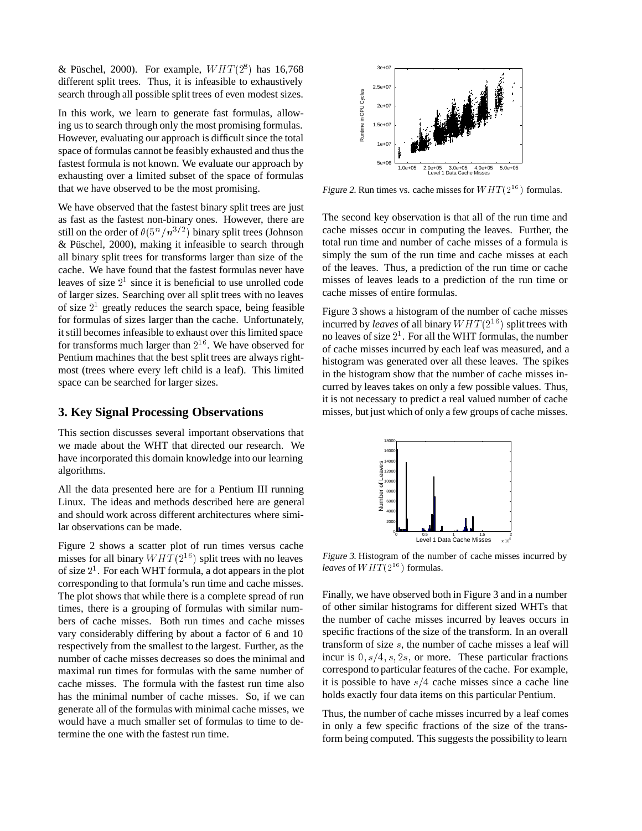& Püschel, 2000). For example,  $WHT(2^8)$  has 16,768 different split trees. Thus, it is infeasible to exhaustively search through all possible split trees of even modest sizes.

In this work, we learn to generate fast formulas, allowing us to search through only the most promising formulas. However, evaluating our approach is difficult since the total space of formulas cannot be feasibly exhausted and thus the fastest formula is not known. We evaluate our approach by exhausting over a limited subset of the space of formulas that we have observed to be the most promising.

We have observed that the fastest binary split trees are just as fast as the fastest non-binary ones. However, there are still on the order of  $\theta(5^n/n^{3/2})$  binary split trees (Johnson  $& Püschel, 2000$ , making it infeasible to search through all binary split trees for transforms larger than size of the cache. We have found that the fastest formulas never have leaves of size  $2<sup>1</sup>$  since it is beneficial to use unrolled code of larger sizes. Searching over all split trees with no leaves of size  $2<sup>1</sup>$  greatly reduces the search space, being feasible for formulas of sizes larger than the cache. Unfortunately, it still becomes infeasible to exhaust over this limited space for transforms much larger than  $2^{16}$ . We have observed for Pentium machines that the best split trees are always rightmost (trees where every left child is a leaf). This limited space can be searched for larger sizes.

### **3. Key Signal Processing Observations**

This section discusses several important observations that we made about the WHT that directed our research. We have incorporated this domain knowledge into our learning algorithms.

All the data presented here are for a Pentium III running Linux. The ideas and methods described here are general and should work across different architectures where similar observations can be made.

Figure 2 shows a scatter plot of run times versus cache misses for all binary  $WHT(2^{16})$  split trees with no leaves of size  $2<sup>1</sup>$ . For each WHT formula, a dot appears in the plot corresponding to that formula's run time and cache misses. The plot shows that while there is a complete spread of run times, there is a grouping of formulas with similar numbers of cache misses. Both run times and cache misses vary considerably differing by about a factor of 6 and 10 respectively from the smallest to the largest. Further, as the number of cache misses decreases so does the minimal and maximal run times for formulas with the same number of cache misses. The formula with the fastest run time also has the minimal number of cache misses. So, if we can generate all of the formulas with minimal cache misses, we would have a much smaller set of formulas to time to determine the one with the fastest run time.



Figure 2. Run times vs. cache misses for  $WHT(2^{16})$  formulas.

The second key observation is that all of the run time and cache misses occur in computing the leaves. Further, the total run time and number of cache misses of a formula is simply the sum of the run time and cache misses at each of the leaves. Thus, a prediction of the run time or cache misses of leaves leads to a prediction of the run time or cache misses of entire formulas.

Figure 3 shows a histogram of the number of cache misses incurred by *leaves* of all binary  $WHT(2^{16})$  split trees with no leaves of size  $2<sup>1</sup>$ . For all the WHT formulas, the number of cache misses incurred by each leaf was measured, and a histogram was generated over all these leaves. The spikes in the histogram show that the number of cache misses incurred by leaves takes on only a few possible values. Thus, it is not necessary to predict a real valued number of cache misses, but just which of only a few groups of cache misses.



Figure 3. Histogram of the number of cache misses incurred by *leaves* of  $WHT(2^{16})$  formulas.

Finally, we have observed both in Figure 3 and in a number of other similar histograms for different sized WHTs that the number of cache misses incurred by leaves occurs in specific fractions of the size of the transform. In an overall transform of size s, the number of cache misses a leaf will incur is  $0, s/4, s, 2s$ , or more. These particular fractions correspond to particular features of the cache. For example, it is possible to have  $s/4$  cache misses since a cache line holds exactly four data items on this particular Pentium.

Thus, the number of cache misses incurred by a leaf comes in only a few specific fractions of the size of the transform being computed. This suggests the possibility to learn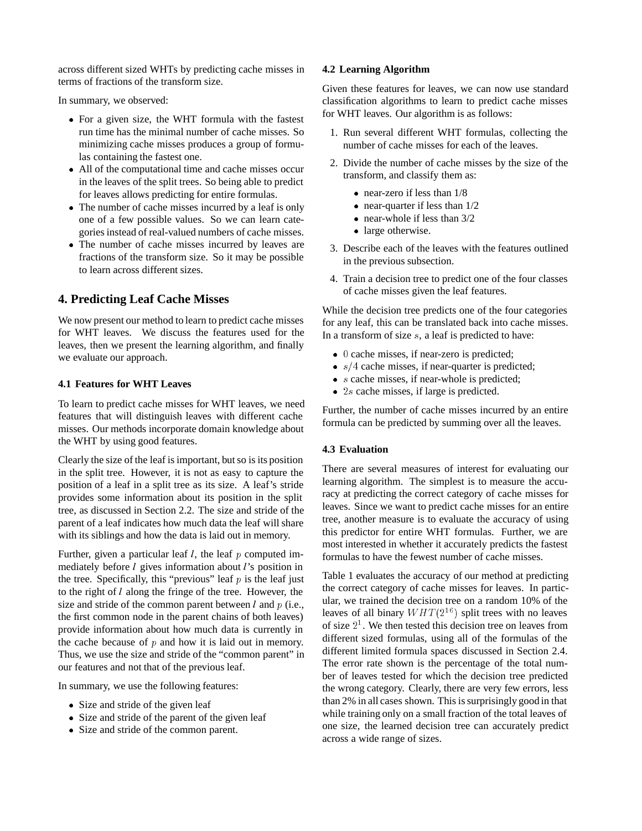across different sized WHTs by predicting cache misses in terms of fractions of the transform size.

In summary, we observed:

- For a given size, the WHT formula with the fastest run time has the minimal number of cache misses. So minimizing cache misses produces a group of formulas containing the fastest one.
- All of the computational time and cache misses occur in the leaves of the split trees. So being able to predict for leaves allows predicting for entire formulas.
- The number of cache misses incurred by a leaf is only one of a few possible values. So we can learn categories instead of real-valued numbers of cache misses.
- The number of cache misses incurred by leaves are fractions of the transform size. So it may be possible to learn across different sizes.

## **4. Predicting Leaf Cache Misses**

We now present our method to learn to predict cache misses for WHT leaves. We discuss the features used for the leaves, then we present the learning algorithm, and finally we evaluate our approach.

### **4.1 Features for WHT Leaves**

To learn to predict cache misses for WHT leaves, we need features that will distinguish leaves with different cache misses. Our methods incorporate domain knowledge about the WHT by using good features.

Clearly the size of the leaf is important, but so is its position in the split tree. However, it is not as easy to capture the position of a leaf in a split tree as its size. A leaf's stride provides some information about its position in the split tree, as discussed in Section 2.2. The size and stride of the parent of a leaf indicates how much data the leaf will share with its siblings and how the data is laid out in memory.

Further, given a particular leaf  $l$ , the leaf  $p$  computed immediately before <sup>l</sup> gives information about <sup>l</sup>'s position in the tree. Specifically, this "previous" leaf  $p$  is the leaf just to the right of <sup>l</sup> along the fringe of the tree. However, the size and stride of the common parent between  $l$  and  $p$  (i.e., the first common node in the parent chains of both leaves) provide information about how much data is currently in the cache because of  $p$  and how it is laid out in memory. Thus, we use the size and stride of the "common parent" in our features and not that of the previous leaf.

In summary, we use the following features:

- Size and stride of the given leaf
- Size and stride of the parent of the given leaf
- Size and stride of the common parent.

### **4.2 Learning Algorithm**

Given these features for leaves, we can now use standard classification algorithms to learn to predict cache misses for WHT leaves. Our algorithm is as follows:

- 1. Run several different WHT formulas, collecting the number of cache misses for each of the leaves.
- 2. Divide the number of cache misses by the size of the transform, and classify them as:
	- near-zero if less than  $1/8$
	- near-quarter if less than  $1/2$
	- near-whole if less than  $3/2$
	- large otherwise.
- 3. Describe each of the leaves with the features outlined in the previous subsection.
- 4. Train a decision tree to predict one of the four classes of cache misses given the leaf features.

While the decision tree predicts one of the four categories for any leaf, this can be translated back into cache misses. In a transform of size  $s$ , a leaf is predicted to have:

- $\bullet$  0 cache misses, if near-zero is predicted;
- $s/4$  cache misses, if near-quarter is predicted;
- $\bullet$  s cache misses, if near-whole is predicted;
- $\bullet$  2s cache misses, if large is predicted.

Further, the number of cache misses incurred by an entire formula can be predicted by summing over all the leaves.

### **4.3 Evaluation**

There are several measures of interest for evaluating our learning algorithm. The simplest is to measure the accuracy at predicting the correct category of cache misses for leaves. Since we want to predict cache misses for an entire tree, another measure is to evaluate the accuracy of using this predictor for entire WHT formulas. Further, we are most interested in whether it accurately predicts the fastest formulas to have the fewest number of cache misses.

Table 1 evaluates the accuracy of our method at predicting the correct category of cache misses for leaves. In particular, we trained the decision tree on a random 10% of the leaves of all binary  $WHT(2^{16})$  split trees with no leaves of size  $2<sup>1</sup>$ . We then tested this decision tree on leaves from different sized formulas, using all of the formulas of the different limited formula spaces discussed in Section 2.4. The error rate shown is the percentage of the total number of leaves tested for which the decision tree predicted the wrong category. Clearly, there are very few errors, less than 2% in all cases shown. This is surprisingly good in that while training only on a small fraction of the total leaves of one size, the learned decision tree can accurately predict across a wide range of sizes.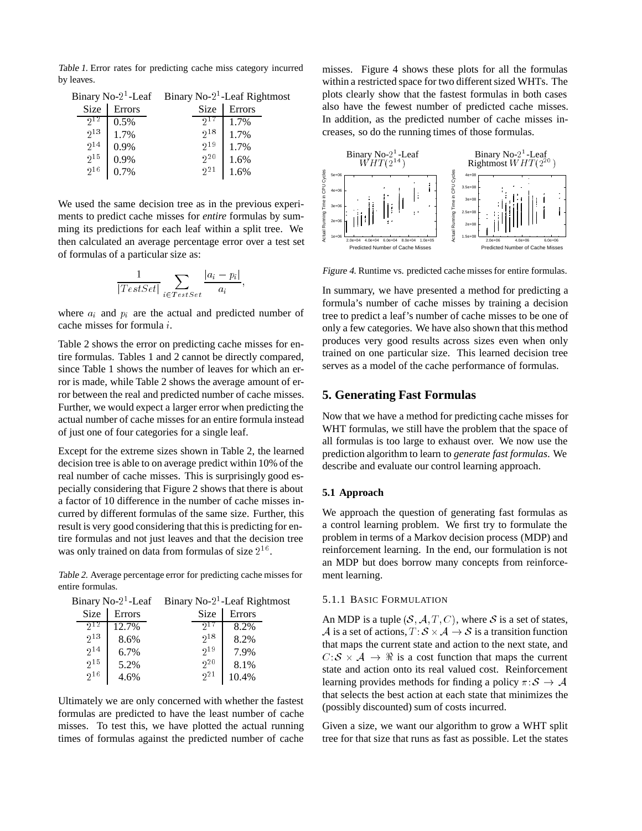Table 1. Error rates for predicting cache miss category incurred by leaves.

|                                                      |                      | Binary No-2 <sup>1</sup> -Leaf Binary No-2 <sup>1</sup> -Leaf Rightmost |                              |
|------------------------------------------------------|----------------------|-------------------------------------------------------------------------|------------------------------|
| Size                                                 | Errors               | Size                                                                    | Errors                       |
| $2^{12}$                                             | 0.5%                 |                                                                         | 1.7%                         |
|                                                      |                      |                                                                         |                              |
|                                                      | 0.9%                 |                                                                         |                              |
|                                                      |                      |                                                                         |                              |
|                                                      |                      |                                                                         |                              |
| $2^{13}$<br>$2^{14}$<br>$2^{15}$<br>$\frac{1}{2}$ 16 | 1.7%<br>0.9%<br>0.7% | $2^{18}$<br>$2^{19}$<br>$2^{20}$<br>$2^{21}$                            | 1.7%<br>1.7%<br>1.6%<br>1.6% |

We used the same decision tree as in the previous experiments to predict cache misses for *entire* formulas by summing its predictions for each leaf within a split tree. We then calculated an average percentage error over a test set of formulas of a particular size as:

$$
\frac{1}{|TestSet|} \sum_{i \in TestSet} \frac{|a_i - p_i|}{a_i},
$$

where  $a_i$  and  $p_i$  are the actual and predicted number of cache misses for formula i.

Table 2 shows the error on predicting cache misses for entire formulas. Tables 1 and 2 cannot be directly compared, since Table 1 shows the number of leaves for which an error is made, while Table 2 shows the average amount of error between the real and predicted number of cache misses. Further, we would expect a larger error when predicting the actual number of cache misses for an entire formula instead of just one of four categories for a single leaf.

Except for the extreme sizes shown in Table 2, the learned decision tree is able to on average predict within 10% of the real number of cache misses. This is surprisingly good especially considering that Figure 2 shows that there is about a factor of 10 difference in the number of cache misses incurred by different formulas of the same size. Further, this result is very good considering that this is predicting for entire formulas and not just leaves and that the decision tree was only trained on data from formulas of size  $2^{16}$ .

Table 2. Average percentage error for predicting cache misses for entire formulas.

|        | Binary No- $21$ -Leaf Rightmost |        |  |
|--------|---------------------------------|--------|--|
| Errors | Size                            | Errors |  |
| 12.7%  |                                 | 8.2%   |  |
| 8.6%   | 218                             | 8.2%   |  |
| 6.7%   | $2^{19}$                        | 7.9%   |  |
| 5.2%   | $2^{20}$                        | 8.1%   |  |
| 4.6%   | 2 <sub>1</sub>                  | 10.4%  |  |
|        | Binary No- $21$ -Leaf           |        |  |

Ultimately we are only concerned with whether the fastest formulas are predicted to have the least number of cache misses. To test this, we have plotted the actual running times of formulas against the predicted number of cache

misses. Figure 4 shows these plots for all the formulas within a restricted space for two different sized WHTs. The plots clearly show that the fastest formulas in both cases also have the fewest number of predicted cache misses. In addition, as the predicted number of cache misses increases, so do the running times of those formulas.



Figure 4. Runtime vs. predicted cache misses for entire formulas.

In summary, we have presented a method for predicting a formula's number of cache misses by training a decision tree to predict a leaf's number of cache misses to be one of only a few categories. We have also shown that this method produces very good results across sizes even when only trained on one particular size. This learned decision tree serves as a model of the cache performance of formulas.

#### **5. Generating Fast Formulas**

Now that we have a method for predicting cache misses for WHT formulas, we still have the problem that the space of all formulas is too large to exhaust over. We now use the prediction algorithm to learn to *generate fast formulas*. We describe and evaluate our control learning approach.

#### **5.1 Approach**

We approach the question of generating fast formulas as a control learning problem. We first try to formulate the problem in terms of a Markov decision process (MDP) and reinforcement learning. In the end, our formulation is not an MDP but does borrow many concepts from reinforcement learning.

#### 5.1.1 BASIC FORMULATION

An MDP is a tuple  $(S, \mathcal{A}, T, C)$ , where S is a set of states, A is a set of actions,  $T: S \times A \rightarrow S$  is a transition function that maps the current state and action to the next state, and  $C: \mathcal{S} \times \mathcal{A} \rightarrow \mathcal{R}$  is a cost function that maps the current state and action onto its real valued cost. Reinforcement learning provides methods for finding a policy  $\pi: \mathcal{S} \to \mathcal{A}$ that selects the best action at each state that minimizes the (possibly discounted) sum of costs incurred.

Given a size, we want our algorithm to grow a WHT split tree for that size that runs as fast as possible. Let the states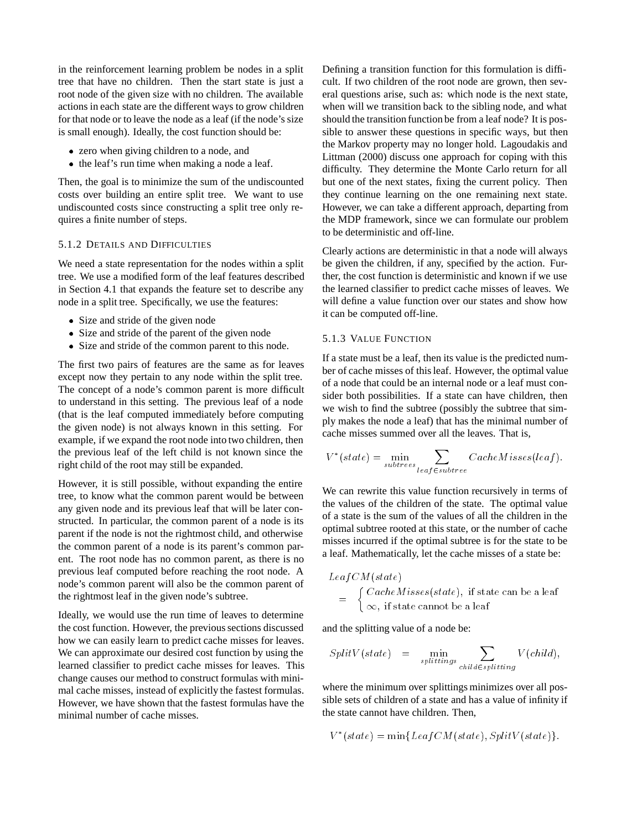in the reinforcement learning problem be nodes in a split tree that have no children. Then the start state is just a root node of the given size with no children. The available actions in each state are the different ways to grow children for that node or to leave the node as a leaf (if the node's size is small enough). Ideally, the cost function should be:

- zero when giving children to a node, and
- $\bullet$  the leaf's run time when making a node a leaf.

Then, the goal is to minimize the sum of the undiscounted costs over building an entire split tree. We want to use undiscounted costs since constructing a split tree only requires a finite number of steps.

#### 5.1.2 DETAILS AND DIFFICULTIES

We need a state representation for the nodes within a split tree. We use a modified form of the leaf features described in Section 4.1 that expands the feature set to describe any node in a split tree. Specifically, we use the features:

- Size and stride of the given node
- Size and stride of the parent of the given node
- Size and stride of the common parent to this node.

The first two pairs of features are the same as for leaves except now they pertain to any node within the split tree. The concept of a node's common parent is more difficult to understand in this setting. The previous leaf of a node (that is the leaf computed immediately before computing the given node) is not always known in this setting. For example, if we expand the root node into two children, then the previous leaf of the left child is not known since the right child of the root may still be expanded.

However, it is still possible, without expanding the entire tree, to know what the common parent would be between any given node and its previous leaf that will be later constructed. In particular, the common parent of a node is its parent if the node is not the rightmost child, and otherwise the common parent of a node is its parent's common parent. The root node has no common parent, as there is no previous leaf computed before reaching the root node. A node's common parent will also be the common parent of the rightmost leaf in the given node's subtree.

Ideally, we would use the run time of leaves to determine the cost function. However, the previous sections discussed how we can easily learn to predict cache misses for leaves. We can approximate our desired cost function by using the learned classifier to predict cache misses for leaves. This change causes our method to construct formulas with minimal cache misses, instead of explicitly the fastest formulas. However, we have shown that the fastest formulas have the minimal number of cache misses.

Defining a transition function for this formulation is difficult. If two children of the root node are grown, then several questions arise, such as: which node is the next state, when will we transition back to the sibling node, and what should the transition function be from a leaf node? It is possible to answer these questions in specific ways, but then the Markov property may no longer hold. Lagoudakis and Littman (2000) discuss one approach for coping with this difficulty. They determine the Monte Carlo return for all but one of the next states, fixing the current policy. Then they continue learning on the one remaining next state. However, we can take a different approach, departing from the MDP framework, since we can formulate our problem to be deterministic and off-line.

Clearly actions are deterministic in that a node will always be given the children, if any, specified by the action. Further, the cost function is deterministic and known if we use the learned classifier to predict cache misses of leaves. We will define a value function over our states and show how it can be computed off-line.

#### 5.1.3 VALUE FUNCTION

If a state must be a leaf, then its value is the predicted number of cache misses of this leaf. However, the optimal value of a node that could be an internal node or a leaf must consider both possibilities. If a state can have children, then we wish to find the subtree (possibly the subtree that simply makes the node a leaf) that has the minimal number of cache misses summed over all the leaves. That is,

$$
V^*(state) = \min_{subtrees} \sum_{leaf \in subsetrees} CacheMisses(leaf).
$$

We can rewrite this value function recursively in terms of the values of the children of the state. The optimal value of a state is the sum of the values of all the children in the optimal subtree rooted at this state, or the number of cache misses incurred if the optimal subtree is for the state to be a leaf. Mathematically, let the cache misses of a state be:

$$
LeafCM(state) = \begin{cases} CacheMisses(state), & \text{if state can be a leaf} \\ \infty, & \text{if state cannot be a leaf} \end{cases}
$$

and the splitting value of a node be:

$$
SplitV(state) = \min_{splittings} \sum_{child \in splitting} V(child),
$$

where the minimum over splittings minimizes over all possible sets of children of a state and has a value of infinity if the state cannot have children. Then,

$$
V^*(state) = \min\{LeafCM(state), SplitV(state)\}.
$$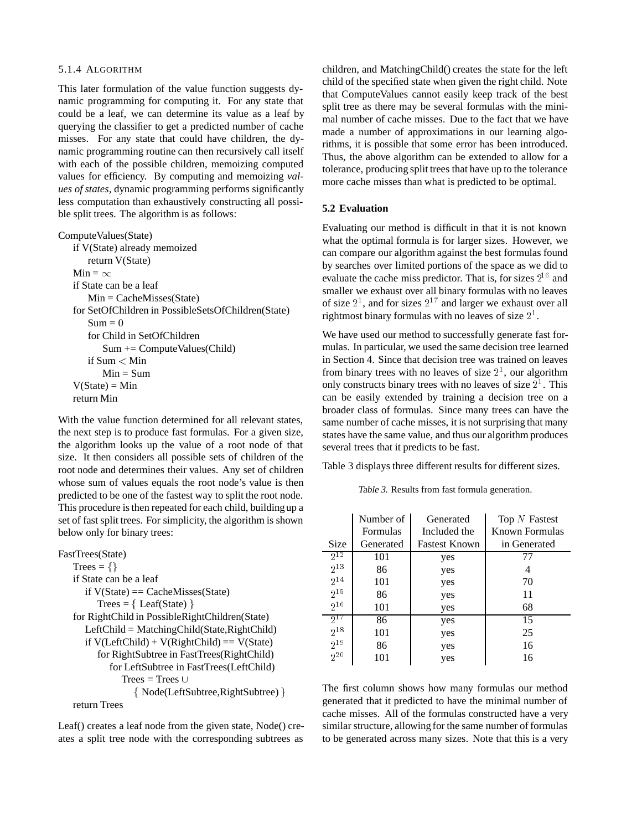#### 5.1.4 ALGORITHM

This later formulation of the value function suggests dynamic programming for computing it. For any state that could be a leaf, we can determine its value as a leaf by querying the classifier to get a predicted number of cache misses. For any state that could have children, the dynamic programming routine can then recursively call itself with each of the possible children, memoizing computed values for efficiency. By computing and memoizing *values of states*, dynamic programming performs significantly less computation than exhaustively constructing all possible split trees. The algorithm is as follows:

ComputeValues(State)

| if V(State) already memoized                       |
|----------------------------------------------------|
| return V(State)                                    |
| $Min = \infty$                                     |
| if State can be a leaf                             |
| $Min = CacheMisses(State)$                         |
| for SetOfChildren in PossibleSetsOfChildren(State) |
| $Sum = 0$                                          |
| for Child in SetOfChildren                         |
| $Sum \vDash ComputeValues(Child)$                  |
| if $Sum < Min$                                     |
| $Min = Sum$                                        |
| $V(State) = Min$                                   |
| return Min                                         |
|                                                    |

With the value function determined for all relevant states, the next step is to produce fast formulas. For a given size, the algorithm looks up the value of a root node of that size. It then considers all possible sets of children of the root node and determines their values. Any set of children whose sum of values equals the root node's value is then predicted to be one of the fastest way to split the root node. This procedure is then repeated for each child, building up a set of fast split trees. For simplicity, the algorithm is shown below only for binary trees:

```
FastTrees(State)
Trees = \{\}if State can be a leaf
   if V(State) == CacheMisses(State)
      Trees = \{ Leaf(State) \}for RightChild in PossibleRightChildren(State)
   LeftChild = MatchingChild(State,RightChild)
   if V(LeftChild) + V(RightChild) == V(State)for RightSubtree in FastTrees(RightChild)
         for LeftSubtree in FastTrees(LeftChild)
            Trees = Trees \cup{ Node(LeftSubtree, RightSubtree) }
return Trees
```
Leaf() creates a leaf node from the given state, Node() creates a split tree node with the corresponding subtrees as

children, and MatchingChild() creates the state for the left child of the specified state when given the right child. Note that ComputeValues cannot easily keep track of the best split tree as there may be several formulas with the minimal number of cache misses. Due to the fact that we have made a number of approximations in our learning algorithms, it is possible that some error has been introduced. Thus, the above algorithm can be extended to allow for a tolerance, producing split trees that have up to the tolerance more cache misses than what is predicted to be optimal.

#### **5.2 Evaluation**

Evaluating our method is difficult in that it is not known what the optimal formula is for larger sizes. However, we can compare our algorithm against the best formulas found by searches over limited portions of the space as we did to evaluate the cache miss predictor. That is, for sizes  $2^{16}$  and smaller we exhaust over all binary formulas with no leaves of size  $2<sup>1</sup>$ , and for sizes  $2<sup>17</sup>$  and larger we exhaust over all rightmost binary formulas with no leaves of size  $2<sup>1</sup>$ .

We have used our method to successfully generate fast formulas. In particular, we used the same decision tree learned in Section 4. Since that decision tree was trained on leaves from binary trees with no leaves of size  $2<sup>1</sup>$ , our algorithm only constructs binary trees with no leaves of size  $2<sup>1</sup>$ . This can be easily extended by training a decision tree on a broader class of formulas. Since many trees can have the same number of cache misses, it is not surprising that many states have the same value, and thus our algorithm produces several trees that it predicts to be fast.

Table 3 displays three different results for different sizes.

Table 3. Results from fast formula generation.

|                     | Number of<br>Formulas | Generated<br>Included the | Top $N$ Fastest<br>Known Formulas |
|---------------------|-----------------------|---------------------------|-----------------------------------|
| Size                | Generated             | <b>Fastest Known</b>      | in Generated                      |
| $2^{12}$            | 101                   | yes                       | 77                                |
| $2^{13}$            | 86                    | yes                       | 4                                 |
| $2^{14}$            | 101                   | yes                       | 70                                |
| $2^{15}$            | 86                    | yes                       | 11                                |
| $2^{16}$            | 101                   | yes                       | 68                                |
| $2^{\overline{17}}$ | 86                    | yes                       | 15                                |
| $2^{18}$            | 101                   | yes                       | 25                                |
| $2^{19}$            | 86                    | yes                       | 16                                |
| $2^{20}$            | 101                   | yes                       | 16                                |

The first column shows how many formulas our method generated that it predicted to have the minimal number of cache misses. All of the formulas constructed have a very similar structure, allowing for the same number of formulas to be generated across many sizes. Note that this is a very